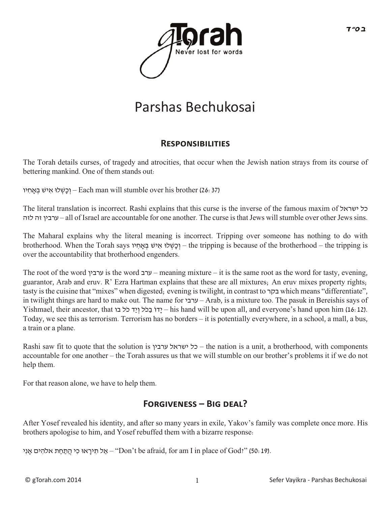

## Parshas Bechukosai

## **RESPONSIBILITIES**

The Torah details curses, of tragedy and atrocities, that occur when the Jewish nation strays from its course of bettering mankind. One of them stands out:

(26:37) brother his over stumble will man Each – וְ כָשְ ׁלוּ אִ יׁש בְ ָּאחִ יו

The literal translation is incorrect. Rashi explains that this curse is the inverse of the famous maxim of ישראל כל לזה זה ערבין – all of Israel are accountable for one another. The curse is that Jews will stumble over other Jews sins.

The Maharal explains why the literal meaning is incorrect. Tripping over someone has nothing to do with brotherhood. When the Torah says יו ִאחָּ ְב שׁי ִא לוּׁ ְשָכ ְו – the tripping is because of the brotherhood – the tripping is over the accountability that brotherhood engenders.

The root of the word ערבין is the word ערב – meaning mixture – it is the same root as the word for tasty, evening, guarantor, Arab and eruv. R' Ezra Hartman explains that these are all mixtures; An eruv mixes property rights; tasty is the cuisine that "mixes" when digested; evening is twilight, in contrast to בקר which means "differentiate", in twilight things are hard to make out. The name for ערבי – Arab, is a mixture too. The pasuk in Bereishis says of Yishmael, their ancestor, that בכל ויד כל ווד לכל בוד – his hand will be upon all, and everyone's hand upon him (16:12). Today, we see this as terrorism. Terrorism has no borders – it is potentially everywhere, in a school, a mall, a bus, a train or a plane.

Rashi saw fit to quote that the solution is ערבין ישראל כל – the nation is a unit, a brotherhood, with components accountable for one another – the Torah assures us that we will stumble on our brother's problems it if we do not help them.

For that reason alone, we have to help them.

## FORGIVENESS – BIG DEAL?

After Yosef revealed his identity, and after so many years in exile, Yakov's family was complete once more. His brothers apologise to him, and Yosef rebuffed them with a bizarre response:

אַל תִּירָאוּ כִּי הֲתַחַת אלהִים אָנִי – "Don't be afraid, for am I in place of God?" (50: 19).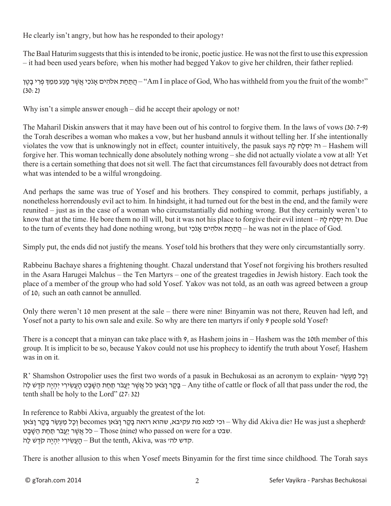He clearly isn't angry, but how has he responded to their apology?

The Baal Haturim suggests that this is intended to be ironic, poetic justice. He was not the first to use this expression – it had been used years before; when his mother had begged Yakov to give her children, their father replied:

התחת אלהים אנכי אשר מנע ממד פרי בטן – "Am I in place of God. Who has withheld from you the fruit of the womb?" (30:2)

Why isn't a simple answer enough – did he accept their apology or not?

The Maharil Diskin answers that it may have been out of his control to forgive them. In the laws of vows (30:7-9) the Torah describes a woman who makes a vow, but her husband annuls it without telling her. If she intentionally violates the vow that is unknowingly not in effect; counter intuitively, the pasuk says הָּל חַל ְסִי ֹוה – Hashem will forgive her. This woman technically done absolutely nothing wrong – she did not actually violate a vow at all! Yet there is a certain something that does not sit well. The fact that circumstances fell favourably does not detract from what was intended to be a wilful wrongdoing.

And perhaps the same was true of Yosef and his brothers. They conspired to commit, perhaps justifiably, a nonetheless horrendously evil act to him. In hindsight, it had turned out for the best in the end, and the family were reunited – just as in the case of a woman who circumstantially did nothing wrong. But they certainly weren't to know that at the time. He bore them no ill will, but it was not his place to forgive their evil intent – הָּל חַל ְסִי ֹוה. Due to the turn of events they had done nothing wrong, but י הֲתַחַת אלֹהִים – he was not in the place of God.

Simply put, the ends did not justify the means. Yosef told his brothers that they were only circumstantially sorry.

Rabbeinu Bachaye shares a frightening thought. Chazal understand that Yosef not forgiving his brothers resulted in the Asara Harugei Malchus – the Ten Martyrs – one of the greatest tragedies in Jewish history. Each took the place of a member of the group who had sold Yosef. Yakov was not told, as an oath was agreed between a group of 10; such an oath cannot be annulled.

Only there weren't 10 men present at the sale – there were nine! Binyamin was not there, Reuven had left, and Yosef not a party to his own sale and exile. So why are there ten martyrs if only 9 people sold Yosef?

There is a concept that a minyan can take place with 9, as Hashem joins in – Hashem was the 10th member of this group. It is implicit to be so, because Yakov could not use his prophecy to identify the truth about Yosef; Hashem was in on it.

R' Shamshon Ostropolier uses the first two words of a pasuk in Bechukosai as an acronym to explain- רְכַל מֲעָשֶׂר בָקָר וָצֹאן כֹּל אֲשֶׁר יַעֲבֹר תַחַת הַשָּׁבֵט הָעֲשִׂירִי יִהְיֵה קֹדָשׁ לַה – Any tithe of cattle or flock of all that pass under the rod, the tenth shall be holy to the Lord" (27:32)

In reference to Rabbi Akiva, arguably the greatest of the lot: וכל מַעְשֶׂר בַּקָר וַצֹאן becomes וְכַל מַעְשֶׂר בַּקָר Lyhy did Akiva die? He was just a shepherd! שבט a Those (nine) who passed on were for a כֹּל אֲשֶׁר יַעֲבֹר תַּחַת הַשֶּׁבֵט. קַעֲשִׂירִי יִהְיֶה קֹדֵשׁ לַהׂ- But the tenth, Akiva, was – ה

There is another allusion to this when Yosef meets Binyamin for the first time since childhood. The Torah says